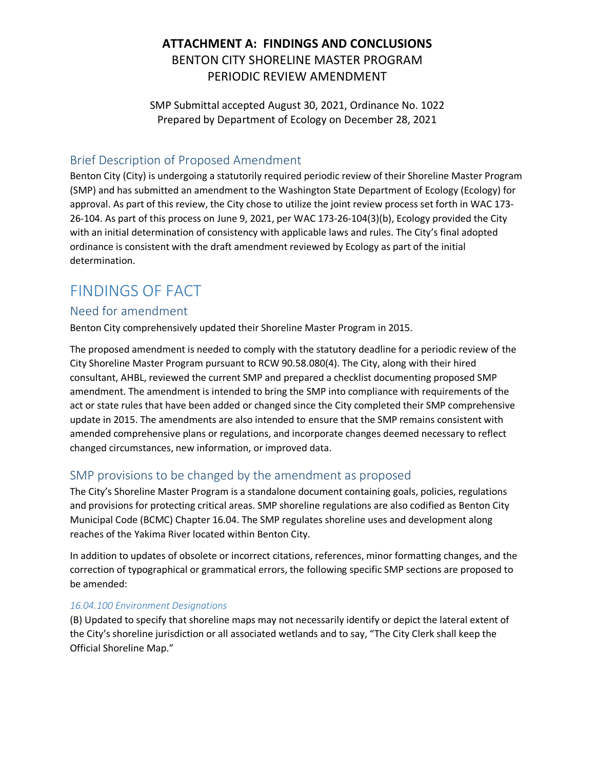# **ATTACHMENT A: FINDINGS AND CONCLUSIONS** BENTON CITY SHORELINE MASTER PROGRAM PERIODIC REVIEW AMENDMENT

SMP Submittal accepted August 30, 2021, Ordinance No. 1022 Prepared by Department of Ecology on December 28, 2021

# Brief Description of Proposed Amendment

Benton City (City) is undergoing a statutorily required periodic review of their Shoreline Master Program (SMP) and has submitted an amendment to the Washington State Department of Ecology (Ecology) for approval. As part of this review, the City chose to utilize the joint review process set forth in WAC 173- 26-104. As part of this process on June 9, 2021, per WAC 173-26-104(3)(b), Ecology provided the City with an initial determination of consistency with applicable laws and rules. The City's final adopted ordinance is consistent with the draft amendment reviewed by Ecology as part of the initial determination.

# FINDINGS OF FACT

## Need for amendment

Benton City comprehensively updated their Shoreline Master Program in 2015.

The proposed amendment is needed to comply with the statutory deadline for a periodic review of the City Shoreline Master Program pursuant to RCW 90.58.080(4). The City, along with their hired consultant, AHBL, reviewed the current SMP and prepared a checklist documenting proposed SMP amendment. The amendment is intended to bring the SMP into compliance with requirements of the act or state rules that have been added or changed since the City completed their SMP comprehensive update in 2015. The amendments are also intended to ensure that the SMP remains consistent with amended comprehensive plans or regulations, and incorporate changes deemed necessary to reflect changed circumstances, new information, or improved data.

# SMP provisions to be changed by the amendment as proposed

The City's Shoreline Master Program is a standalone document containing goals, policies, regulations and provisions for protecting critical areas. SMP shoreline regulations are also codified as Benton City Municipal Code (BCMC) Chapter 16.04. The SMP regulates shoreline uses and development along reaches of the Yakima River located within Benton City.

In addition to updates of obsolete or incorrect citations, references, minor formatting changes, and the correction of typographical or grammatical errors, the following specific SMP sections are proposed to be amended:

## *16.04.100 Environment Designations*

(B) Updated to specify that shoreline maps may not necessarily identify or depict the lateral extent of the City's shoreline jurisdiction or all associated wetlands and to say, "The City Clerk shall keep the Official Shoreline Map."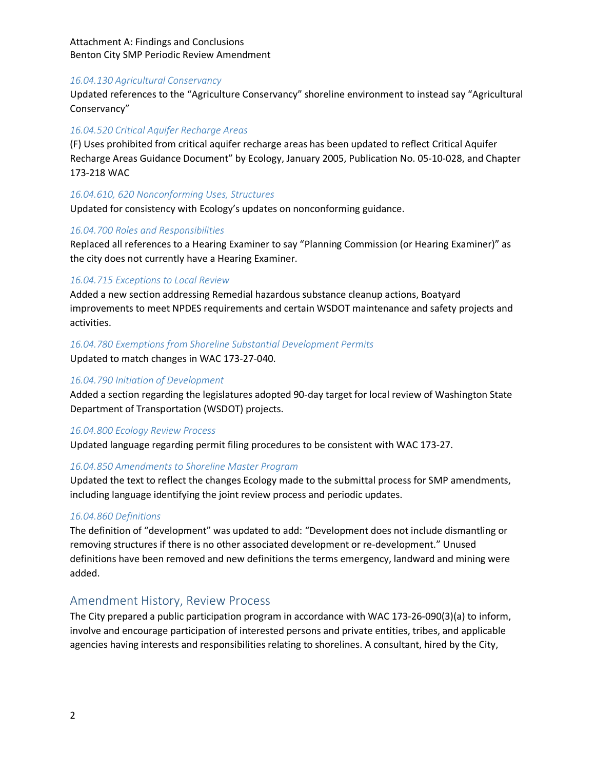#### *16.04.130 Agricultural Conservancy*

Updated references to the "Agriculture Conservancy" shoreline environment to instead say "Agricultural Conservancy"

#### *16.04.520 Critical Aquifer Recharge Areas*

(F) Uses prohibited from critical aquifer recharge areas has been updated to reflect Critical Aquifer Recharge Areas Guidance Document" by Ecology, January 2005, Publication No. 05-10-028, and Chapter 173-218 WAC

#### *16.04.610, 620 Nonconforming Uses, Structures*

Updated for consistency with Ecology's updates on nonconforming guidance.

#### *16.04.700 Roles and Responsibilities*

Replaced all references to a Hearing Examiner to say "Planning Commission (or Hearing Examiner)" as the city does not currently have a Hearing Examiner.

#### *16.04.715 Exceptions to Local Review*

Added a new section addressing Remedial hazardous substance cleanup actions, Boatyard improvements to meet NPDES requirements and certain WSDOT maintenance and safety projects and activities.

#### *16.04.780 Exemptions from Shoreline Substantial Development Permits*

Updated to match changes in WAC 173-27-040.

### *16.04.790 Initiation of Development*

Added a section regarding the legislatures adopted 90-day target for local review of Washington State Department of Transportation (WSDOT) projects.

#### *16.04.800 Ecology Review Process*

Updated language regarding permit filing procedures to be consistent with WAC 173-27.

#### *16.04.850 Amendments to Shoreline Master Program*

Updated the text to reflect the changes Ecology made to the submittal process for SMP amendments, including language identifying the joint review process and periodic updates.

#### *16.04.860 Definitions*

The definition of "development" was updated to add: "Development does not include dismantling or removing structures if there is no other associated development or re-development." Unused definitions have been removed and new definitions the terms emergency, landward and mining were added.

## Amendment History, Review Process

The City prepared a public participation program in accordance with WAC 173-26-090(3)(a) to inform, involve and encourage participation of interested persons and private entities, tribes, and applicable agencies having interests and responsibilities relating to shorelines. A consultant, hired by the City,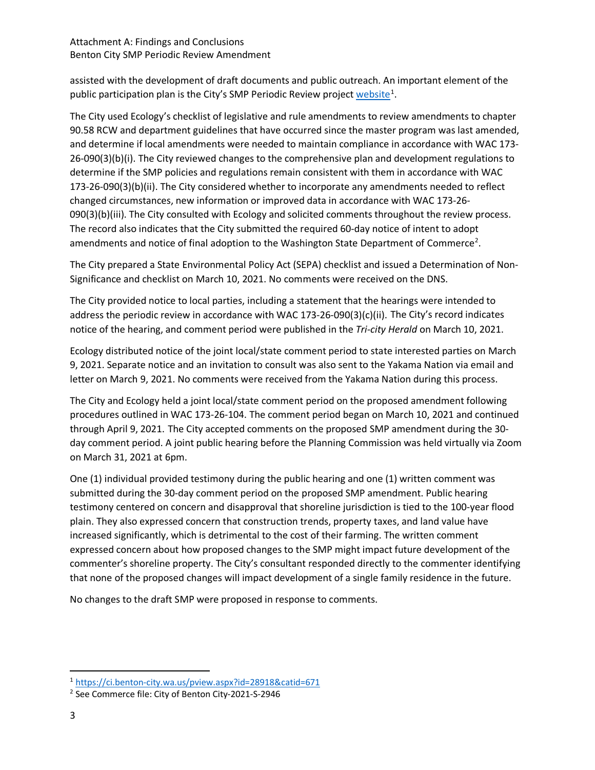assisted with the development of draft documents and public outreach. An important element of the public participation plan is the City's SMP Periodic Review project [website](https://ci.benton-city.wa.us/pview.aspx?id=28918&catid=671)<sup>[1](#page-2-0)</sup>.

The City used Ecology's checklist of legislative and rule amendments to review amendments to chapter 90.58 RCW and department guidelines that have occurred since the master program was last amended, and determine if local amendments were needed to maintain compliance in accordance with WAC 173- 26-090(3)(b)(i). The City reviewed changes to the comprehensive plan and development regulations to determine if the SMP policies and regulations remain consistent with them in accordance with WAC 173-26-090(3)(b)(ii). The City considered whether to incorporate any amendments needed to reflect changed circumstances, new information or improved data in accordance with WAC 173-26- 090(3)(b)(iii). The City consulted with Ecology and solicited comments throughout the review process. The record also indicates that the City submitted the required 60-day notice of intent to adopt amendments and notice of final adoption to the Washington State Department of Commerce<sup>[2](#page-2-1)</sup>.

The City prepared a State Environmental Policy Act (SEPA) checklist and issued a Determination of Non-Significance and checklist on March 10, 2021. No comments were received on the DNS.

The City provided notice to local parties, including a statement that the hearings were intended to address the periodic review in accordance with WAC 173-26-090(3)(c)(ii). The City's record indicates notice of the hearing, and comment period were published in the *Tri-city Herald* on March 10, 2021.

Ecology distributed notice of the joint local/state comment period to state interested parties on March 9, 2021. Separate notice and an invitation to consult was also sent to the Yakama Nation via email and letter on March 9, 2021. No comments were received from the Yakama Nation during this process.

The City and Ecology held a joint local/state comment period on the proposed amendment following procedures outlined in WAC 173-26-104. The comment period began on March 10, 2021 and continued through April 9, 2021. The City accepted comments on the proposed SMP amendment during the 30 day comment period. A joint public hearing before the Planning Commission was held virtually via Zoom on March 31, 2021 at 6pm.

One (1) individual provided testimony during the public hearing and one (1) written comment was submitted during the 30-day comment period on the proposed SMP amendment. Public hearing testimony centered on concern and disapproval that shoreline jurisdiction is tied to the 100-year flood plain. They also expressed concern that construction trends, property taxes, and land value have increased significantly, which is detrimental to the cost of their farming. The written comment expressed concern about how proposed changes to the SMP might impact future development of the commenter's shoreline property. The City's consultant responded directly to the commenter identifying that none of the proposed changes will impact development of a single family residence in the future.

No changes to the draft SMP were proposed in response to comments.

<span id="page-2-0"></span> <sup>1</sup> <https://ci.benton-city.wa.us/pview.aspx?id=28918&catid=671>

<span id="page-2-1"></span><sup>2</sup> See Commerce file: City of Benton City-2021-S-2946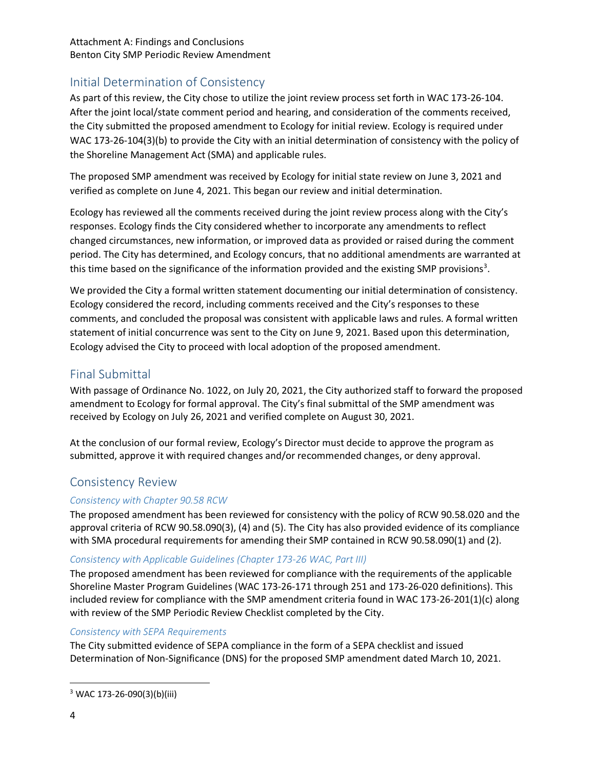# Initial Determination of Consistency

As part of this review, the City chose to utilize the joint review process set forth in WAC 173-26-104. After the joint local/state comment period and hearing, and consideration of the comments received, the City submitted the proposed amendment to Ecology for initial review. Ecology is required under WAC 173-26-104(3)(b) to provide the City with an initial determination of consistency with the policy of the Shoreline Management Act (SMA) and applicable rules.

The proposed SMP amendment was received by Ecology for initial state review on June 3, 2021 and verified as complete on June 4, 2021. This began our review and initial determination.

Ecology has reviewed all the comments received during the joint review process along with the City's responses. Ecology finds the City considered whether to incorporate any amendments to reflect changed circumstances, new information, or improved data as provided or raised during the comment period. The City has determined, and Ecology concurs, that no additional amendments are warranted at this time based on the significance of the information provided and the existing SMP provisions<sup>[3](#page-3-0)</sup>.

We provided the City a formal written statement documenting our initial determination of consistency. Ecology considered the record, including comments received and the City's responses to these comments, and concluded the proposal was consistent with applicable laws and rules. A formal written statement of initial concurrence was sent to the City on June 9, 2021. Based upon this determination, Ecology advised the City to proceed with local adoption of the proposed amendment.

# Final Submittal

With passage of Ordinance No. 1022, on July 20, 2021, the City authorized staff to forward the proposed amendment to Ecology for formal approval. The City's final submittal of the SMP amendment was received by Ecology on July 26, 2021 and verified complete on August 30, 2021.

At the conclusion of our formal review, Ecology's Director must decide to approve the program as submitted, approve it with required changes and/or recommended changes, or deny approval.

## Consistency Review

## *Consistency with Chapter 90.58 RCW*

The proposed amendment has been reviewed for consistency with the policy of RCW 90.58.020 and the approval criteria of RCW 90.58.090(3), (4) and (5). The City has also provided evidence of its compliance with SMA procedural requirements for amending their SMP contained in RCW 90.58.090(1) and (2).

## *Consistency with Applicable Guidelines (Chapter 173-26 WAC, Part III)*

The proposed amendment has been reviewed for compliance with the requirements of the applicable Shoreline Master Program Guidelines (WAC 173-26-171 through 251 and 173-26-020 definitions). This included review for compliance with the SMP amendment criteria found in WAC 173-26-201(1)(c) along with review of the SMP Periodic Review Checklist completed by the City.

## *Consistency with SEPA Requirements*

The City submitted evidence of SEPA compliance in the form of a SEPA checklist and issued Determination of Non-Significance (DNS) for the proposed SMP amendment dated March 10, 2021.

<span id="page-3-0"></span> $3$  WAC 173-26-090(3)(b)(iii)